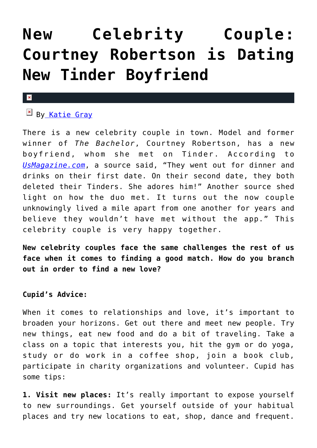## **[New Celebrity Couple:](https://cupidspulse.com/85733/new-celebrity-couple-courtney-robertson-dating-tinder-boyfriend-relationships-and-love/) [Courtney Robertson is Dating](https://cupidspulse.com/85733/new-celebrity-couple-courtney-robertson-dating-tinder-boyfriend-relationships-and-love/) [New Tinder Boyfriend](https://cupidspulse.com/85733/new-celebrity-couple-courtney-robertson-dating-tinder-boyfriend-relationships-and-love/)**

## $\pmb{\times}$

## **EX B[y Katie Gray](http://cupidspulse.com/105088/katie-gray/)**

There is a new celebrity couple in town. Model and former winner of *The Bachelor*, Courtney Robertson, has a new boyfriend, whom she met on Tinder. According to *[UsMagazine.com](http://www.usmagazine.com/celebrity-news/news/courtney-robertson-dating-new-boyfriend-she-met-on-tinder-2015221)*, a source said, "They went out for dinner and drinks on their first date. On their second date, they both deleted their Tinders. She adores him!" Another source shed light on how the duo met. It turns out the now couple unknowingly lived a mile apart from one another for years and believe they wouldn't have met without the app." This celebrity couple is very happy together.

**New celebrity couples face the same challenges the rest of us face when it comes to finding a good match. How do you branch out in order to find a new love?**

## **Cupid's Advice:**

When it comes to relationships and love, it's important to broaden your horizons. Get out there and meet new people. Try new things, eat new food and do a bit of traveling. Take a class on a topic that interests you, hit the gym or do yoga, study or do work in a coffee shop, join a book club, participate in charity organizations and volunteer. Cupid has some tips:

**1. Visit new places:** It's really important to expose yourself to new surroundings. Get yourself outside of your habitual places and try new locations to eat, shop, dance and frequent.